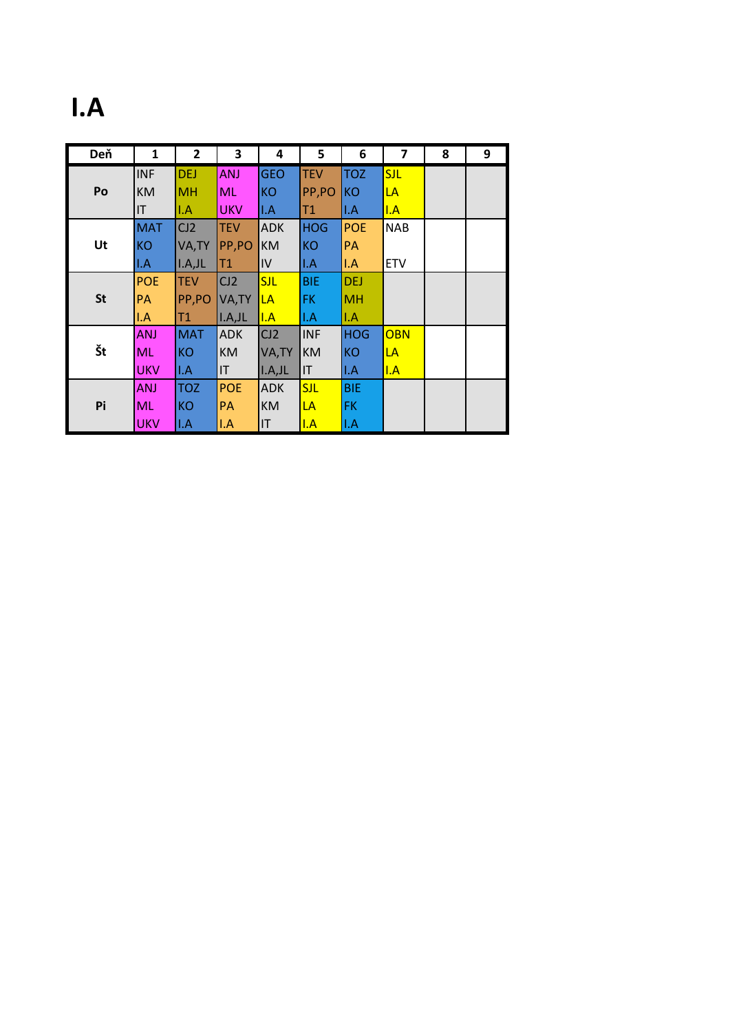# **I.A**

| Deň       | 1          | $\mathbf{2}$ | 3          | 4          | 5          | 6          | $\overline{\mathbf{z}}$ | 8 | 9 |
|-----------|------------|--------------|------------|------------|------------|------------|-------------------------|---|---|
|           | <b>INF</b> | <b>DEJ</b>   | <b>ANJ</b> | <b>GEO</b> | <b>TEV</b> | <b>TOZ</b> | <b>SJL</b>              |   |   |
| Po        | <b>KM</b>  | <b>MH</b>    | ML         | <b>KO</b>  | PP,PO      | <b>KO</b>  | LA                      |   |   |
|           | IT         | I.A          | <b>UKV</b> | I.A        | T1         | I.A        | I.A                     |   |   |
|           | <b>MAT</b> | CJ2          | <b>TEV</b> | <b>ADK</b> | <b>HOG</b> | <b>POE</b> | <b>NAB</b>              |   |   |
| Ut        | <b>KO</b>  | VA, TY       | PP,PO      | <b>KM</b>  | <b>KO</b>  | PA         |                         |   |   |
|           | I.A        | I.A.JL       | T1         | IV         | I.A        | I.A        | <b>ETV</b>              |   |   |
|           | <b>POE</b> | <b>TEV</b>   | CJ2        | <b>SJL</b> | <b>BIE</b> | <b>DEJ</b> |                         |   |   |
| <b>St</b> | PА         | PP,PO        | VA, TY     | LA         | FK         | <b>MH</b>  |                         |   |   |
|           | I.A        | T1.          | I.A, JL    | I.A        | I.A        | I.A        |                         |   |   |
|           | ANJ        | <b>MAT</b>   | <b>ADK</b> | CI2        | <b>INF</b> | <b>HOG</b> | <b>OBN</b>              |   |   |
| Št        | <b>ML</b>  | <b>KO</b>    | <b>KM</b>  | VA, TY     | <b>KM</b>  | KO         | LA                      |   |   |
|           | <b>UKV</b> | II.A         | IT         | I.A, JL    | IT         | I.A        | I.A                     |   |   |
| Pi        | <b>ANJ</b> | <b>TOZ</b>   | <b>POE</b> | <b>ADK</b> | <b>SJL</b> | <b>BIE</b> |                         |   |   |
|           | ML         | <b>KO</b>    | <b>PA</b>  | <b>KM</b>  | LA         | FK         |                         |   |   |
|           | <b>UKV</b> | I.A          | I.A        | IT         | I.A        | I.A        |                         |   |   |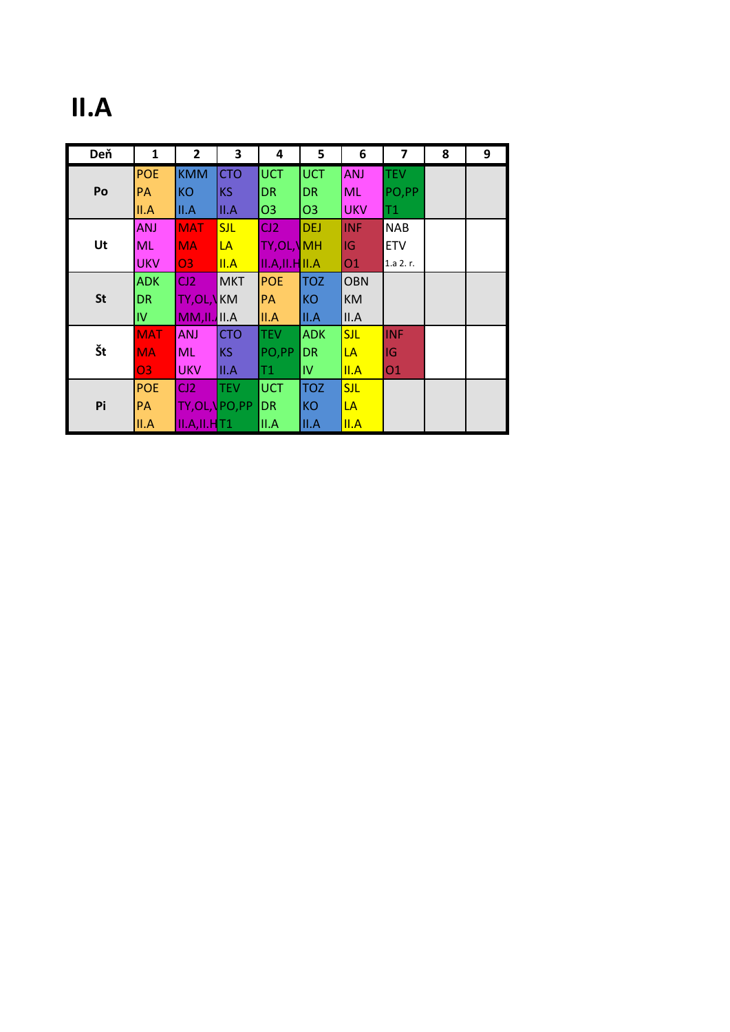# **II.A**

| Deň       | 1          | $\overline{2}$         | 3          | 4                 | 5              | 6          | 7          | 8 | 9 |
|-----------|------------|------------------------|------------|-------------------|----------------|------------|------------|---|---|
|           | <b>POE</b> | <b>KMM</b>             | <b>CTO</b> | <b>UCT</b>        | <b>UCT</b>     | <b>ANJ</b> | <b>TEV</b> |   |   |
| Po        | PA         | <b>KO</b>              | KS         | <b>DR</b>         | <b>DR</b>      | <b>ML</b>  | PO,PP      |   |   |
|           | II.A       | II.A                   | II.A       | O <sub>3</sub>    | O <sub>3</sub> | <b>UKV</b> | T1         |   |   |
|           | <b>ANJ</b> | <b>MAT</b>             | <b>SJL</b> | CJ2               | <b>DEJ</b>     | <b>INF</b> | <b>NAB</b> |   |   |
| Ut        | <b>ML</b>  | <b>MA</b>              | LA         | <b>TY, OL, NH</b> |                | IG         | <b>ETV</b> |   |   |
|           | <b>UKV</b> | <b>O3</b>              | II.A       | II.A, II.H II.A   |                | 01         | 1.a 2.r.   |   |   |
|           | <b>ADK</b> | CJ2                    | <b>MKT</b> | <b>POE</b>        | <b>TOZ</b>     | <b>OBN</b> |            |   |   |
| <b>St</b> | <b>DR</b>  | <b>TY,OL,VKM</b>       |            | PA                | <b>KO</b>      | <b>KM</b>  |            |   |   |
|           | IV         | $MM, II$ , $III$ , $A$ |            | II.A              | II.A           | II.A       |            |   |   |
|           | <b>MAT</b> | ANJ                    | <b>CTO</b> | <b>TEV</b>        | <b>ADK</b>     | <b>SJL</b> | <b>INF</b> |   |   |
| Št        | <b>MA</b>  | <b>ML</b>              | KS         | PO,PP             | <b>DR</b>      | LA         | IG         |   |   |
|           | 03         | <b>UKV</b>             | III.A      | T1.               | IV.            | II.A       | 01         |   |   |
| Pi        | <b>POE</b> | CJ2                    | <b>TEV</b> | <b>UCT</b>        | <b>TOZ</b>     | <b>SJL</b> |            |   |   |
|           | PA         | <b>TY, OL, \PO, PP</b> |            | <b>DR</b>         | <b>KO</b>      | LA         |            |   |   |
|           | II.A       | $II.A, II.H$ T1        |            | II.A              | II.A           | II.A       |            |   |   |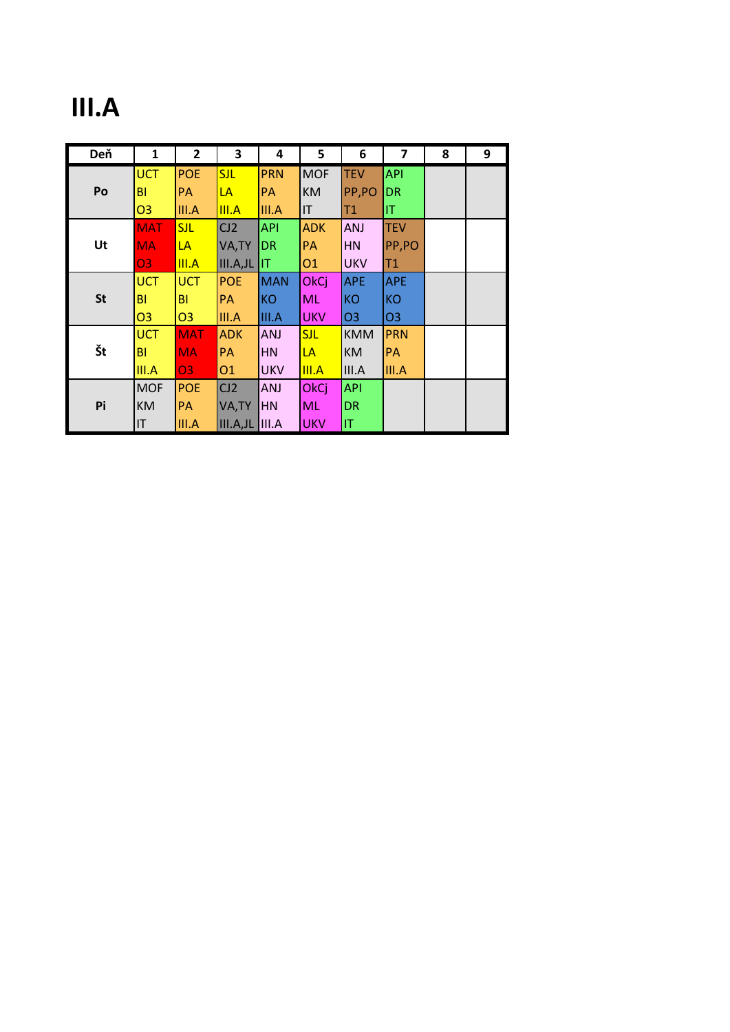## **III.A**

| Deň       | 1              | $\mathbf{2}$   | 3          | 4          | 5           | 6              | 7              | 8 | 9 |
|-----------|----------------|----------------|------------|------------|-------------|----------------|----------------|---|---|
|           | <b>UCT</b>     | <b>POE</b>     | <b>SJL</b> | <b>PRN</b> | <b>MOF</b>  | <b>TEV</b>     | <b>API</b>     |   |   |
| Po        | ΒI             | PA             | LA         | PA         | КM          | PP,PO          | <b>DR</b>      |   |   |
|           | O <sub>3</sub> | III.A          | III.A      | III.A      | IT          | T1             | IT.            |   |   |
|           | <b>MAT</b>     | <b>SJL</b>     | CI2        | <b>API</b> | <b>ADK</b>  | ANJ            | <b>TEV</b>     |   |   |
| Ut        | <b>MA</b>      | LA             | VA, TY     | <b>DR</b>  | PA          | HN             | PP,PO          |   |   |
|           | 03             | III.A          | III.A,JL   | IT         | 01          | <b>UKV</b>     | T1             |   |   |
|           | <b>UCT</b>     | <b>UCT</b>     | <b>POE</b> | <b>MAN</b> | OkCj        | <b>APE</b>     | <b>APE</b>     |   |   |
| <b>St</b> | BI             | BI             | <b>PA</b>  | <b>KO</b>  | <b>ML</b>   | <b>KO</b>      | <b>KO</b>      |   |   |
|           | O <sub>3</sub> | O <sub>3</sub> | III.A      | III.A      | <b>UKV</b>  | O <sub>3</sub> | O <sub>3</sub> |   |   |
|           | <b>UCT</b>     | <b>MAT</b>     | <b>ADK</b> | <b>ANJ</b> | <b>SJL</b>  | <b>KMM</b>     | <b>PRN</b>     |   |   |
| Št        | <b>BI</b>      | <b>MA</b>      | PA         | <b>HN</b>  | LA          | <b>KM</b>      | PA             |   |   |
|           | III.A          | 03             | 01         | <b>UKV</b> | III.A       | III.A          | III.A          |   |   |
| Pi        | <b>MOF</b>     | <b>POE</b>     | CI2        | ANJ        | <b>OkCj</b> | <b>API</b>     |                |   |   |
|           | <b>KM</b>      | PA             | VA, TY     | <b>HN</b>  | <b>ML</b>   | <b>DR</b>      |                |   |   |
|           | IT             | III.A          | III.A,JL   | III.A      | <b>UKV</b>  | ΙT             |                |   |   |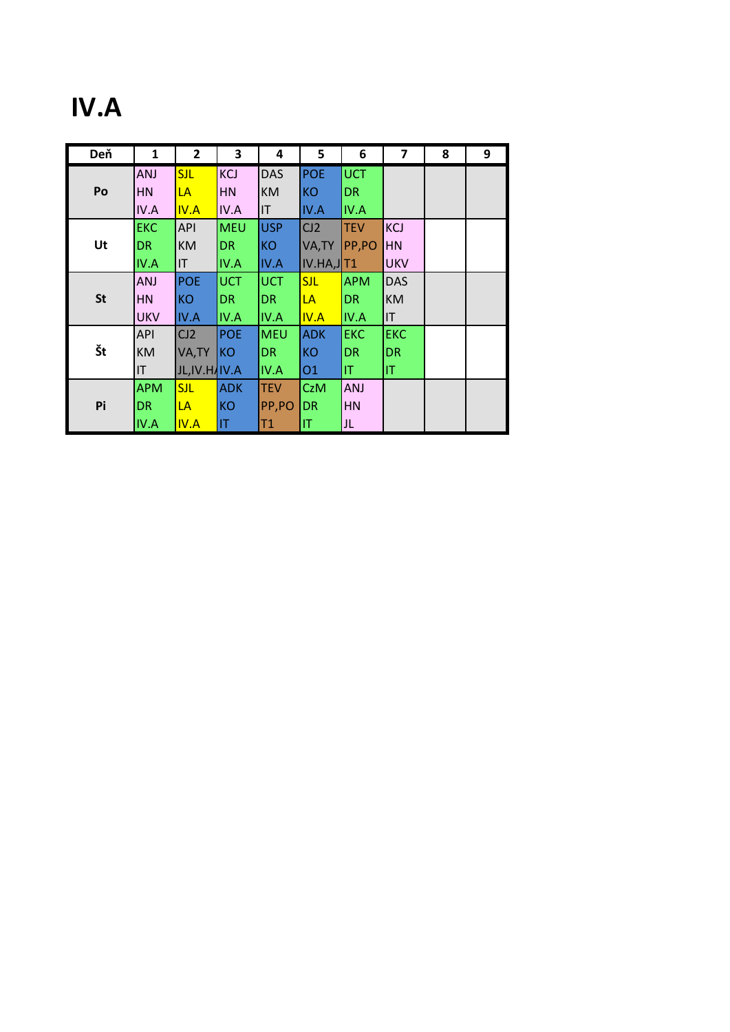## **IV.A**

| Deň       | $\mathbf{1}$ | $\mathbf{2}$           | 3          | 4           | 5           | 6          | 7          | 8 | 9 |
|-----------|--------------|------------------------|------------|-------------|-------------|------------|------------|---|---|
|           | ANJ          | <b>SJL</b>             | KCJ        | <b>DAS</b>  | POE         | <b>UCT</b> |            |   |   |
| Po        | <b>HN</b>    | LA                     | HN         | <b>KM</b>   | KO          | DR.        |            |   |   |
|           | IV.A         | IV.A                   | IV.A       | <b>IT</b>   | IV.A        | IV.A       |            |   |   |
|           | <b>EKC</b>   | <b>API</b>             | <b>MEU</b> | <b>USP</b>  | CJ2         | <b>TEV</b> | <b>KCJ</b> |   |   |
| Ut        | DR.          | <b>KM</b>              | DR         | <b>KO</b>   | VA, TY      | PP,PO      | <b>HN</b>  |   |   |
|           | IV.A         | $\mathsf{I}\mathsf{T}$ | IV.A       | <b>IV.A</b> | IV.HA, JTT1 |            | <b>UKV</b> |   |   |
|           | ANJ          | <b>POE</b>             | <b>UCT</b> | <b>UCT</b>  | <b>SJL</b>  | <b>APM</b> | <b>DAS</b> |   |   |
| <b>St</b> | <b>HN</b>    | <b>KO</b>              | DR.        | DR.         | LA          | <b>DR</b>  | <b>KM</b>  |   |   |
|           | <b>UKV</b>   | <b>IV.A</b>            | IV.A       | <b>IV.A</b> | IV.A        | IV.A       | IT         |   |   |
|           | <b>API</b>   | CJ2                    | <b>POE</b> | MEU         | <b>ADK</b>  | <b>EKC</b> | <b>EKC</b> |   |   |
| Št        | <b>KM</b>    | VA, TY                 | KO         | <b>DR</b>   | <b>KO</b>   | DR         | <b>DR</b>  |   |   |
|           | IT           | JL, IV. H. IV.A        |            | <b>IV.A</b> | <b>O1</b>   | IT.        | IT         |   |   |
| Pi        | <b>APM</b>   | <b>SJL</b>             | <b>ADK</b> | <b>TEV</b>  | CzM         | <b>ANJ</b> |            |   |   |
|           | <b>DR</b>    | LA                     | <b>KO</b>  | PP,PO       | <b>DR</b>   | <b>HN</b>  |            |   |   |
|           | <b>IV.A</b>  | IV.A                   | IT         | T1          | IT.         | JL         |            |   |   |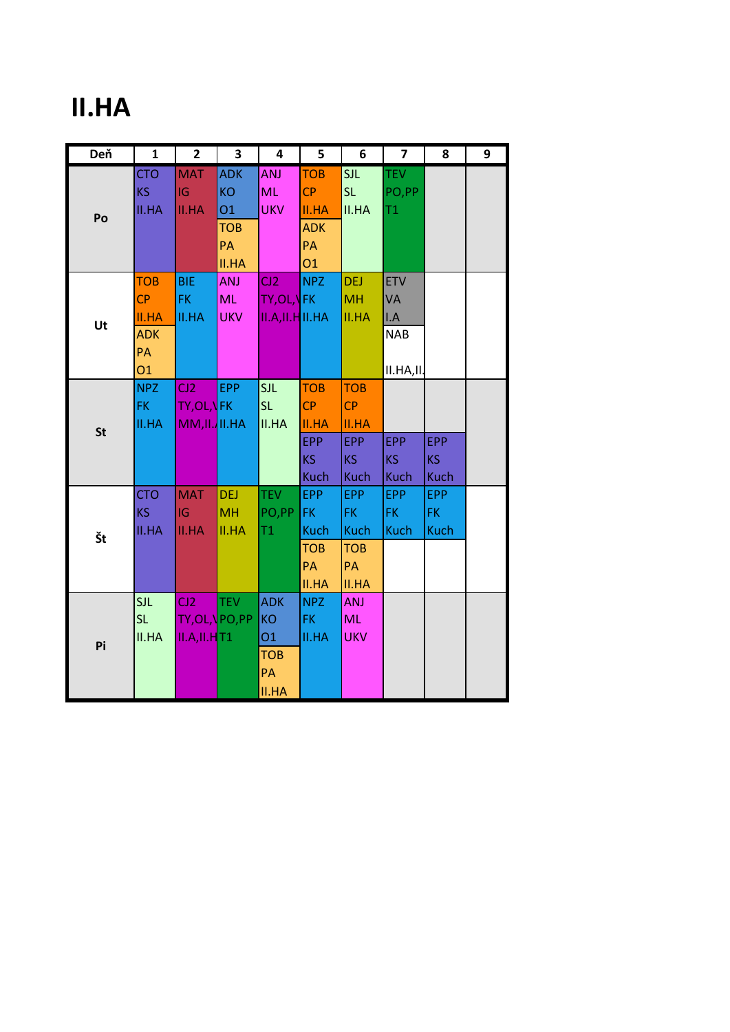### **II.HA**

| Deň       | $\mathbf{1}$                                                      | $\overline{2}$                                   | $\overline{\mathbf{3}}$                 | 4                                                                        | 5                                                             | 6                                                                   | $\overline{\mathbf{z}}$                            | 8                                | 9 |
|-----------|-------------------------------------------------------------------|--------------------------------------------------|-----------------------------------------|--------------------------------------------------------------------------|---------------------------------------------------------------|---------------------------------------------------------------------|----------------------------------------------------|----------------------------------|---|
| Po        | <b>CTO</b><br><b>KS</b><br><b>II.HA</b>                           | <b>MAT</b><br>IG<br><b>II.HA</b>                 | <b>ADK</b><br>KO<br><b>O1</b>           | <b>ANJ</b><br><b>ML</b><br><b>UKV</b>                                    | <b>TOB</b><br>CP<br><b>II.HA</b>                              | <b>SJL</b><br>SL.<br>II.HA                                          | <b>TEV</b><br>PO,PP<br>T1                          |                                  |   |
|           |                                                                   |                                                  | <b>TOB</b><br>PA<br><b>II.HA</b>        |                                                                          | <b>ADK</b><br><b>PA</b><br>01                                 |                                                                     |                                                    |                                  |   |
| Ut        | <b>TOB</b><br>CP<br><b>II.HA</b><br><b>ADK</b><br>PA<br><b>O1</b> | <b>BIE</b><br>FK.<br><b>II.HA</b>                | <b>ANJ</b><br><b>ML</b><br><b>UKV</b>   | CJ2<br>TY,OL, <mark>\</mark> FK<br>II.A, II.H II. HA                     | <b>NPZ</b>                                                    | <b>DEJ</b><br><b>MH</b><br><b>II.HA</b>                             | <b>ETV</b><br>VA<br>I.A<br><b>NAB</b><br>II.HA,II. |                                  |   |
| <b>St</b> | NPZ<br>FK.<br><b>II.HA</b>                                        | C12<br><b>TY,OL,VFK</b><br>$MM, II.$ II.HA       | <b>EPP</b>                              | SJL<br>SL.<br><b>II.HA</b>                                               | <b>TOB</b><br>CP<br><b>II.HA</b><br>EPP<br>KS.<br><b>Kuch</b> | <b>TOB</b><br>CP<br>II.HA<br><b>EPP</b><br><b>KS</b><br><b>Kuch</b> | <b>EPP</b><br>KS<br><b>Kuch</b>                    | <b>EPP</b><br>KS<br><b>Kuch</b>  |   |
| Št        | <b>CTO</b><br>KS.<br><b>II.HA</b>                                 | <b>MAT</b><br>IG<br><b>II.HA</b>                 | <b>DEJ</b><br><b>MH</b><br><b>II.HA</b> | <b>TEV</b><br>PO,PP<br>T1                                                | EPP<br>FK.<br><b>Kuch</b><br><b>TOB</b><br><b>PA</b><br>II.HA | EPP<br>FK.<br><b>Kuch</b><br><b>TOB</b><br>PA<br>II.HA              | <b>EPP</b><br>FK.<br><b>Kuch</b>                   | <b>EPP</b><br>FK.<br><b>Kuch</b> |   |
| Pi        | <b>SJL</b><br>SL.<br>II.HA                                        | C12<br>TY,OL,\PO,PP<br>II.A,II.H <mark>T1</mark> | <b>TEV</b>                              | <b>ADK</b><br><b>KO</b><br><b>O1</b><br><b>TOB</b><br>PA<br><b>II.HA</b> | NPZ<br>FK.<br><b>II.HA</b>                                    | <b>ANJ</b><br><b>ML</b><br><b>UKV</b>                               |                                                    |                                  |   |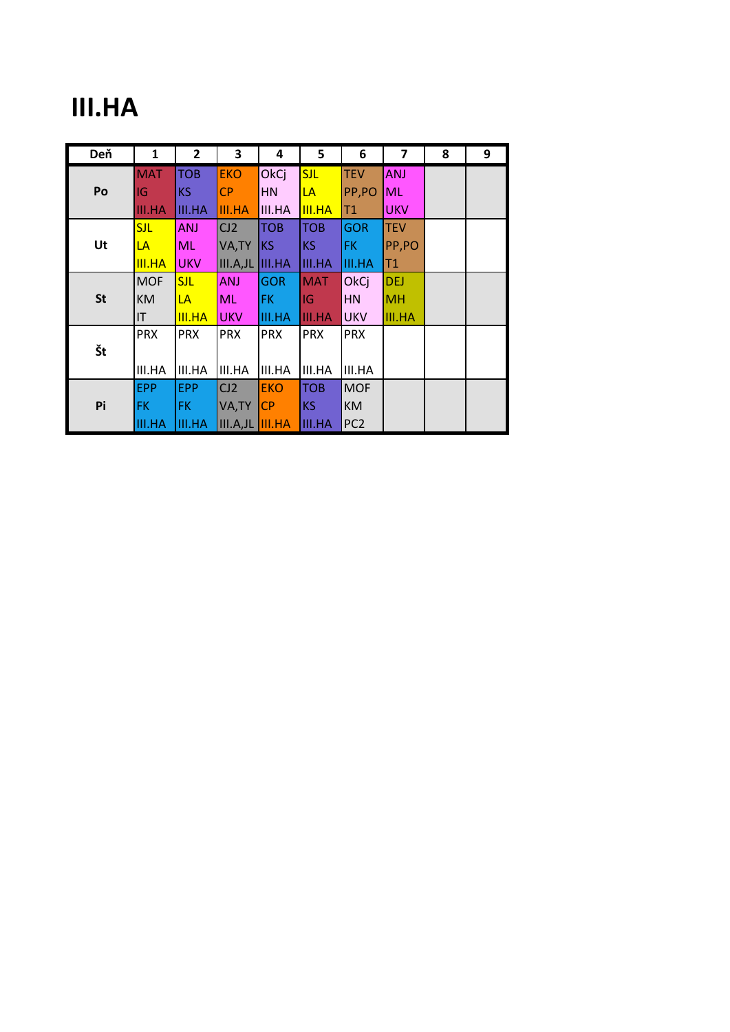### **III.HA**

| Deň       | 1             | 2             | 3             | 4             | 5             | 6               | $\overline{\mathbf{z}}$ | 8 | 9 |
|-----------|---------------|---------------|---------------|---------------|---------------|-----------------|-------------------------|---|---|
|           | <b>MAT</b>    | <b>TOB</b>    | <b>EKO</b>    | OkCj          | <b>SJL</b>    | <b>TEV</b>      | <b>ANJ</b>              |   |   |
| Po        | IG            | <b>KS</b>     | <b>CP</b>     | <b>HN</b>     | LA            | PP,PO           | <b>ML</b>               |   |   |
|           | <b>III.HA</b> | <b>III.HA</b> | <b>III.HA</b> | III.HA        | <b>III.HA</b> | T1              | <b>UKV</b>              |   |   |
|           | <b>SJL</b>    | <b>ANJ</b>    | CJ2           | <b>TOB</b>    | <b>TOB</b>    | <b>GOR</b>      | <b>TEV</b>              |   |   |
| Ut        | LA            | ML            | VA, TY        | <b>KS</b>     | KS            | <b>FK</b>       | PP,PO                   |   |   |
|           | <b>III.HA</b> | <b>UKV</b>    | III.A, JL     | <b>III.HA</b> | <b>III.HA</b> | <b>III.HA</b>   | T1                      |   |   |
|           | <b>MOF</b>    | <b>SJL</b>    | <b>ANJ</b>    | <b>GOR</b>    | <b>MAT</b>    | OkCj            | <b>DEJ</b>              |   |   |
| <b>St</b> | <b>KM</b>     | LA            | <b>ML</b>     | FK.           | IG            | <b>HN</b>       | <b>MH</b>               |   |   |
|           | ΙT            | <b>III.HA</b> | <b>UKV</b>    | <b>III.HA</b> | III.HA        | <b>UKV</b>      | <b>III.HA</b>           |   |   |
|           | <b>PRX</b>    | <b>PRX</b>    | <b>PRX</b>    | <b>PRX</b>    | <b>PRX</b>    | <b>PRX</b>      |                         |   |   |
| Št        |               |               |               |               |               |                 |                         |   |   |
|           | III.HA        | III.HA        | III.HA        | III.HA        | III.HA        | III.HA          |                         |   |   |
| Pi        | <b>EPP</b>    | <b>EPP</b>    | CJ2           | <b>EKO</b>    | <b>TOB</b>    | <b>MOF</b>      |                         |   |   |
|           | <b>FK</b>     | FK.           | VA, TY        | <b>CP</b>     | KS            | <b>KM</b>       |                         |   |   |
|           | <b>III.HA</b> | <b>III.HA</b> | III.A, JL     | <b>III.HA</b> | <b>III.HA</b> | PC <sub>2</sub> |                         |   |   |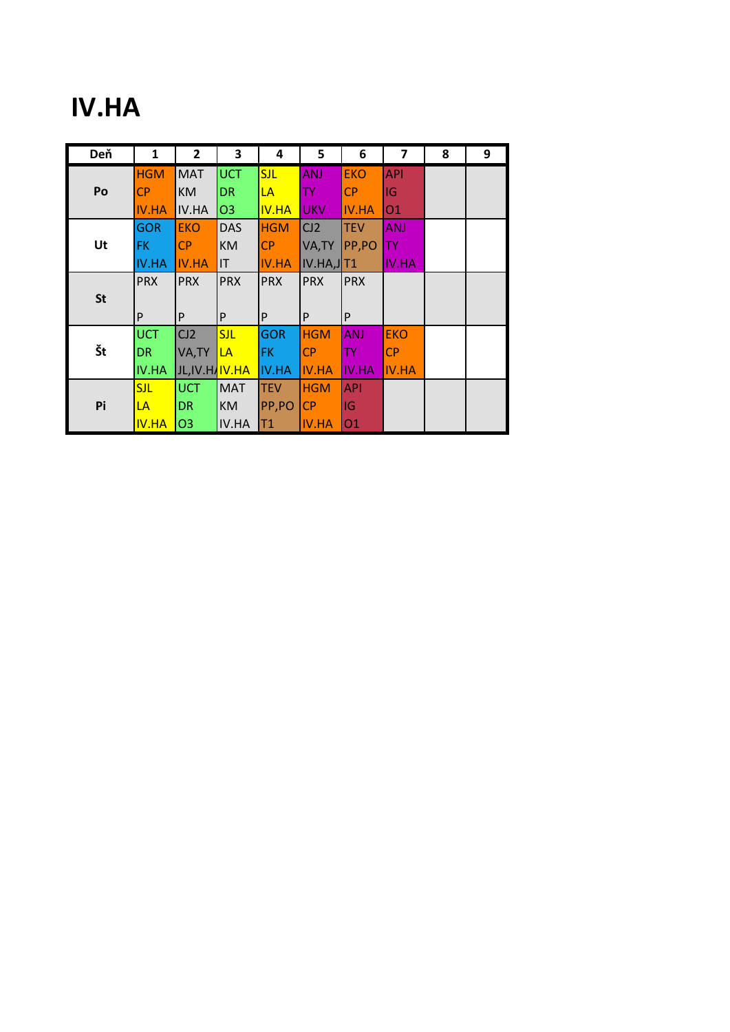### **IV.HA**

| Deň       | 1            | 2                           | 3              | 4            | 5            | 6            | $\overline{\mathbf{z}}$ | 8 | 9 |
|-----------|--------------|-----------------------------|----------------|--------------|--------------|--------------|-------------------------|---|---|
|           | <b>HGM</b>   | <b>MAT</b>                  | <b>UCT</b>     | <b>SJL</b>   | <b>ANJ</b>   | <b>EKO</b>   | <b>API</b>              |   |   |
| Po        | <b>CP</b>    | <b>KM</b>                   | <b>DR</b>      | LA           | TY.          | <b>CP</b>    | IG                      |   |   |
|           | <b>IV.HA</b> | IV.HA                       | O <sub>3</sub> | <b>IV.HA</b> | <b>UKV</b>   | <b>IV.HA</b> | 01                      |   |   |
|           | <b>GOR</b>   | <b>EKO</b>                  | <b>DAS</b>     | <b>HGM</b>   | CJ2          | <b>TEV</b>   | <b>ANJ</b>              |   |   |
| Ut        | FK.          | <b>CP</b>                   | <b>KM</b>      | CP           | VA, TY       | PP,PO        | <b>TY</b>               |   |   |
|           | <b>IV.HA</b> | <b>IV.HA</b>                | IT             | <b>IV.HA</b> | IV.HA, JTT1  |              | IV.HA                   |   |   |
|           | <b>PRX</b>   | <b>PRX</b>                  | <b>PRX</b>     | <b>PRX</b>   | <b>PRX</b>   | <b>PRX</b>   |                         |   |   |
| <b>St</b> |              |                             |                |              |              |              |                         |   |   |
|           | P            | P                           | P              | P            | P            | P            |                         |   |   |
|           | <b>UCT</b>   | CJ2                         | <b>SJL</b>     | <b>GOR</b>   | <b>HGM</b>   | <b>ANJ</b>   | <b>EKO</b>              |   |   |
| Št        | DR.          | VA, TY                      | LA             | FK.          | <b>CP</b>    | TY.          | <b>CP</b>               |   |   |
|           | <b>IV.HA</b> | JL,IV.HA <mark>IV.HA</mark> |                | IV.HA        | <b>IV.HA</b> | <b>IV.HA</b> | <b>IV.HA</b>            |   |   |
| Pi        | <b>SJL</b>   | <b>UCT</b>                  | <b>MAT</b>     | <b>TEV</b>   | <b>HGM</b>   | <b>API</b>   |                         |   |   |
|           | LA           | DR                          | <b>KM</b>      | PP,PO        | <b>CP</b>    | IG           |                         |   |   |
|           | <b>IV.HA</b> | O <sub>3</sub>              | IV.HA          | T1           | <b>IV.HA</b> | 01           |                         |   |   |